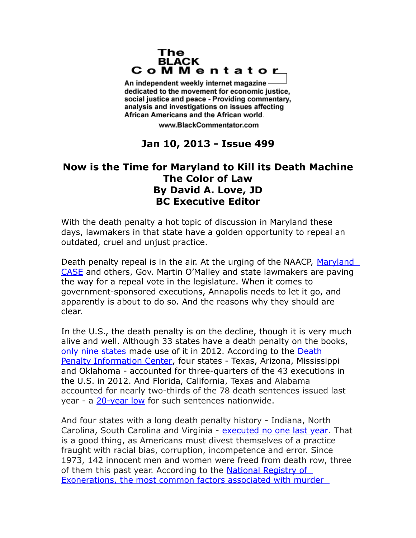## The **BLACK** CoMMentator

An independent weekly internet magazine dedicated to the movement for economic justice. social justice and peace - Providing commentary, analysis and investigations on issues affecting African Americans and the African world.

www.BlackCommentator.com

## **Jan 10, 2013 - Issue 499**

## **Now is the Time for Maryland to Kill its Death Machine The Color of Law By David A. Love, JD BC Executive Editor**

With the death penalty a hot topic of discussion in Maryland these days, lawmakers in that state have a golden opportunity to repeal an outdated, cruel and unjust practice.

Death penalty repeal is in the air. At the urging of the NAACP, Maryland [CASE](http://www.mdcase.org/) and others, Gov. Martin O'Malley and state lawmakers are paving the way for a repeal vote in the legislature. When it comes to government-sponsored executions, Annapolis needs to let it go, and apparently is about to do so. And the reasons why they should are clear.

In the U.S., the death penalty is on the decline, though it is very much alive and well. Although 33 states have a death penalty on the books, [only nine states](hhttp://www.huffingtonpost.com/2012/12/18/2012-death-penalty-executions-information-center_n_2323135.html) made use of it in 2012. According to the Death [Penalty Information Center,](http://www.deathpenaltyinfo.org/home) four states - Texas, Arizona, Mississippi and Oklahoma - accounted for three-quarters of the 43 executions in the U.S. in 2012. And Florida, California, Texas and Alabama accounted for nearly two-thirds of the 78 death sentences issued last year - a [20-year low](http://thinkprogress.org/justice/2012/12/21/1370351/number-of-death-sentences-issued-in-2012-reaches-twenty-year-low/) for such sentences nationwide.

And four states with a long death penalty history - Indiana, North Carolina, South Carolina and Virginia - [executed no one last year.](http://www.nytimes.com/2012/12/21/us/use-of-death-sentences-continues-to-fall-numbers-show.html?hp=&adxnnl=1&adxnnlx=1356094804-5F4lKzEekLk8fL4xmeZ1Sg&_r=0) That is a good thing, as Americans must divest themselves of a practice fraught with racial bias, corruption, incompetence and error. Since 1973, 142 innocent men and women were freed from death row, three of them this past year. According to the National Registry of [Exonerations, the most common factors associated with murder](http://www.law.umich.edu/special/exoneration/Pages/about.aspx)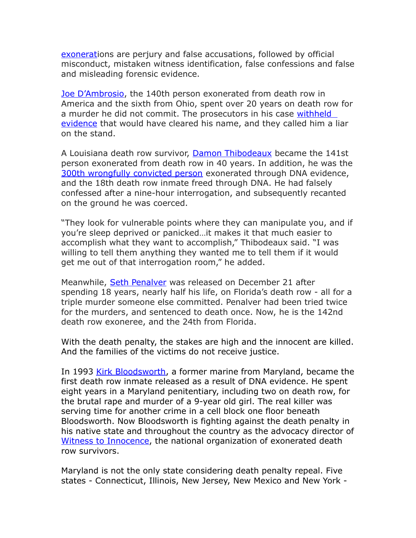[exonerati](http://www.law.umich.edu/special/exoneration/Pages/about.aspx)ons are perjury and false accusations, followed by official misconduct, mistaken witness identification, false confessions and false and misleading forensic evidence.

[Joe D'Ambrosio,](http://www.deathpenaltyinfo.org/innocence-cases-2004-present#142) the 140th person exonerated from death row in America and the sixth from Ohio, spent over 20 years on death row for a murder he did not commit. The prosecutors in his case withheld [evidence](http://www.cleveland.com/brett/blog/index.ssf/2012/01/joe_dambrosio_finally_free_spe.html) that would have cleared his name, and they called him a liar on the stand.

A Louisiana death row survivor, [Damon Thibodeaux](http://www.washingtonpost.com/national/louisiana-death-row-inmate-damon-thibodeaux-is-exonerated-with-dna-evidence/2012/09/28/26e30012-0997-11e2-afff-d6c7f20a83bf_print.html) became the 141st person exonerated from death row in 40 years. In addition, he was the [300th wrongfully convicted person](http://www.washingtonpost.com/national/louisiana-death-row-inmate-damon-thibodeaux-is-exonerated-with-dna-evidence/2012/09/28/26e30012-0997-11e2-afff-d6c7f20a83bf_print.html) exonerated through DNA evidence, and the 18th death row inmate freed through DNA. He had falsely confessed after a nine-hour interrogation, and subsequently recanted on the ground he was coerced.

"They look for vulnerable points where they can manipulate you, and if you're sleep deprived or panicked…it makes it that much easier to accomplish what they want to accomplish," Thibodeaux said. "I was willing to tell them anything they wanted me to tell them if it would get me out of that interrogation room," he added.

Meanwhile, [Seth Penalver](http://www.sun-sentinel.com/fl-penalver-verdict-watch-20121221,0,6037356.story) was released on December 21 after spending 18 years, nearly half his life, on Florida's death row - all for a triple murder someone else committed. Penalver had been tried twice for the murders, and sentenced to death once. Now, he is the 142nd death row exoneree, and the 24th from Florida.

With the death penalty, the stakes are high and the innocent are killed. And the families of the victims do not receive justice.

In 1993 [Kirk Bloodsworth,](http://www.youtube.com/watch?v=qjAOw-n3CxQ) a former marine from Maryland, became the first death row inmate released as a result of DNA evidence. He spent eight years in a Maryland penitentiary, including two on death row, for the brutal rape and murder of a 9-year old girl. The real killer was serving time for another crime in a cell block one floor beneath Bloodsworth. Now Bloodsworth is fighting against the death penalty in his native state and throughout the country as the advocacy director of [Witness to Innocence,](http://www.witnesstoinnocence.org/) the national organization of exonerated death row survivors.

Maryland is not the only state considering death penalty repeal. Five states - Connecticut, Illinois, New Jersey, New Mexico and New York -